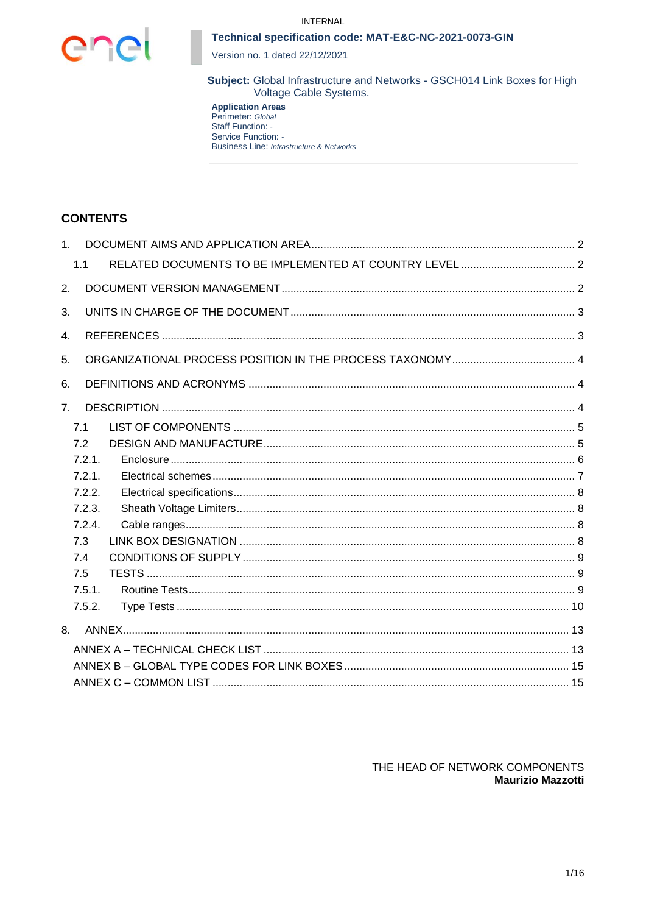



Version no. 1 dated 22/12/2021

Subject: Global Infrastructure and Networks - GSCH014 Link Boxes for High Voltage Cable Systems.

**Application Areas**<br>Perimeter: Global Staff Function: -Service Function: -**Business Line: Infrastructure & Networks** 

# **CONTENTS**

| 1 <sup>1</sup> |        |  |
|----------------|--------|--|
|                | 1.1    |  |
| 2.             |        |  |
| 3.             |        |  |
| 4.             |        |  |
| 5.             |        |  |
| 6.             |        |  |
| 7 <sub>1</sub> |        |  |
|                | 7.1    |  |
|                | 7.2    |  |
|                | 7.2.1. |  |
|                | 7.2.1. |  |
|                | 7.2.2. |  |
|                | 7.2.3. |  |
|                | 7.2.4. |  |
|                | 7.3    |  |
|                | 7.4    |  |
|                | 7.5    |  |
|                | 7.5.1. |  |
|                | 7.5.2. |  |
| 8.             |        |  |
|                |        |  |
|                |        |  |
|                |        |  |
|                |        |  |

THE HEAD OF NETWORK COMPONENTS **Maurizio Mazzotti**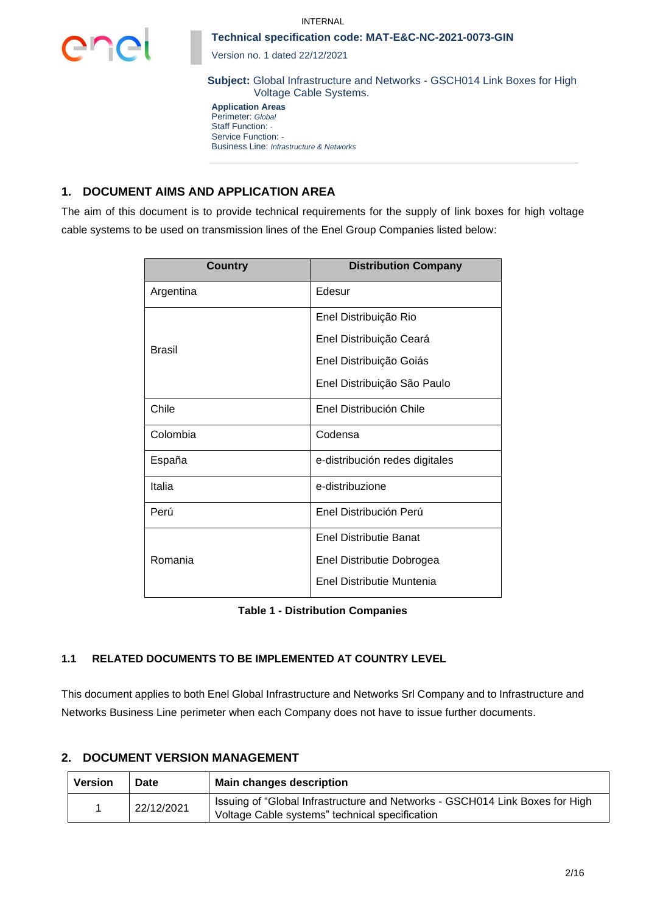



Version no. 1 dated 22/12/2021

**Subject:** Global Infrastructure and Networks - GSCH014 Link Boxes for High Voltage Cable Systems.

**Application Areas** Perimeter: *Global* Staff Function: *-* Service Function: *-* Business Line: *Infrastructure & Networks*

# **1. DOCUMENT AIMS AND APPLICATION AREA**

The aim of this document is to provide technical requirements for the supply of link boxes for high voltage cable systems to be used on transmission lines of the Enel Group Companies listed below:

| <b>Country</b> | <b>Distribution Company</b>    |  |  |  |
|----------------|--------------------------------|--|--|--|
| Argentina      | Edesur                         |  |  |  |
|                | Enel Distribuição Rio          |  |  |  |
| <b>Brasil</b>  | Enel Distribuição Ceará        |  |  |  |
|                | Enel Distribuição Goiás        |  |  |  |
|                | Enel Distribuição São Paulo    |  |  |  |
| Chile          | Enel Distribución Chile        |  |  |  |
| Colombia       | Codensa                        |  |  |  |
| España         | e-distribución redes digitales |  |  |  |
| Italia         | e-distribuzione                |  |  |  |
| Perú           | Enel Distribución Perú         |  |  |  |
|                | <b>Enel Distributie Banat</b>  |  |  |  |
| Romania        | Enel Distributie Dobrogea      |  |  |  |
|                | Enel Distributie Muntenia      |  |  |  |

| <b>Table 1 - Distribution Companies</b> |  |
|-----------------------------------------|--|
|-----------------------------------------|--|

# **1.1 RELATED DOCUMENTS TO BE IMPLEMENTED AT COUNTRY LEVEL**

This document applies to both Enel Global Infrastructure and Networks Srl Company and to Infrastructure and Networks Business Line perimeter when each Company does not have to issue further documents.

# **2. DOCUMENT VERSION MANAGEMENT**

| Version | Date       | <b>Main changes description</b>                                                                                                |
|---------|------------|--------------------------------------------------------------------------------------------------------------------------------|
|         | 22/12/2021 | Issuing of "Global Infrastructure and Networks - GSCH014 Link Boxes for High<br>Voltage Cable systems" technical specification |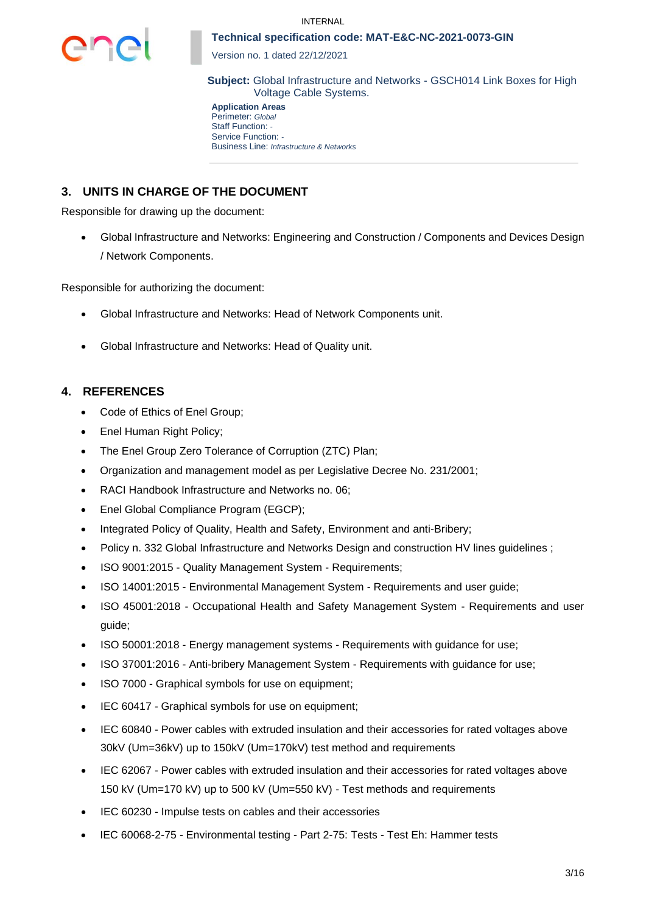

Version no. 1 dated 22/12/2021

**Subject:** Global Infrastructure and Networks - GSCH014 Link Boxes for High Voltage Cable Systems.

**Application Areas** Perimeter: *Global* Staff Function: *-* Service Function: *-* Business Line: *Infrastructure & Networks*

# **3. UNITS IN CHARGE OF THE DOCUMENT**

Responsible for drawing up the document:

• Global Infrastructure and Networks: Engineering and Construction / Components and Devices Design / Network Components.

Responsible for authorizing the document:

- Global Infrastructure and Networks: Head of Network Components unit.
- Global Infrastructure and Networks: Head of Quality unit.

# **4. REFERENCES**

- Code of Ethics of Enel Group;
- Enel Human Right Policy;
- The Enel Group Zero Tolerance of Corruption (ZTC) Plan;
- Organization and management model as per Legislative Decree No. 231/2001;
- RACI Handbook Infrastructure and Networks no. 06;
- Enel Global Compliance Program (EGCP):
- Integrated Policy of Quality, Health and Safety, Environment and anti-Bribery;
- Policy n. 332 Global Infrastructure and Networks Design and construction HV lines guidelines ;
- ISO 9001:2015 Quality Management System Requirements;
- ISO 14001:2015 Environmental Management System Requirements and user guide;
- ISO 45001:2018 Occupational Health and Safety Management System Requirements and user guide;
- ISO 50001:2018 Energy management systems Requirements with guidance for use;
- ISO 37001:2016 Anti-bribery Management System Requirements with guidance for use;
- ISO 7000 Graphical symbols for use on equipment;
- IEC 60417 Graphical symbols for use on equipment;
- IEC 60840 Power cables with extruded insulation and their accessories for rated voltages above 30kV (Um=36kV) up to 150kV (Um=170kV) test method and requirements
- IEC 62067 Power cables with extruded insulation and their accessories for rated voltages above 150 kV (Um=170 kV) up to 500 kV (Um=550 kV) - Test methods and requirements
- IEC 60230 Impulse tests on cables and their accessories
- IEC 60068-2-75 Environmental testing Part 2-75: Tests Test Eh: Hammer tests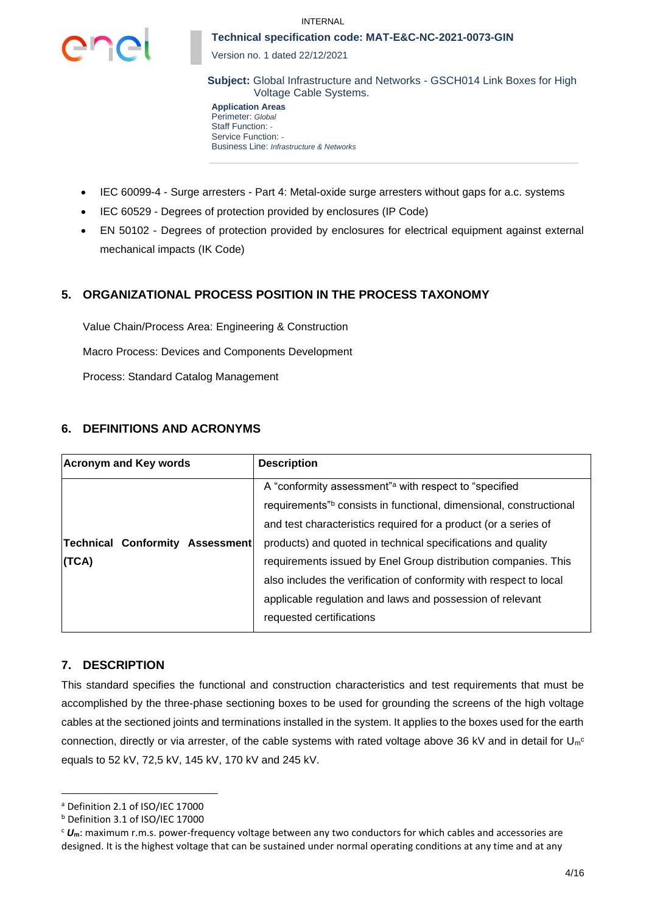

Version no. 1 dated 22/12/2021

**Subject:** Global Infrastructure and Networks - GSCH014 Link Boxes for High Voltage Cable Systems.

**Application Areas** Perimeter: *Global* Staff Function: *-* Service Function: *-* Business Line: *Infrastructure & Networks*

- IEC 60099-4 Surge arresters Part 4: Metal-oxide surge arresters without gaps for a.c. systems
- IEC 60529 Degrees of protection provided by enclosures (IP Code)
- EN 50102 Degrees of protection provided by enclosures for electrical equipment against external mechanical impacts (IK Code)

# **5. ORGANIZATIONAL PROCESS POSITION IN THE PROCESS TAXONOMY**

Value Chain/Process Area: Engineering & Construction Macro Process: Devices and Components Development Process: Standard Catalog Management

# **6. DEFINITIONS AND ACRONYMS**

| <b>Acronym and Key words</b>           | <b>Description</b>                                                 |  |  |
|----------------------------------------|--------------------------------------------------------------------|--|--|
|                                        | A "conformity assessment" a with respect to "specified"            |  |  |
|                                        | requirements" consists in functional, dimensional, constructional  |  |  |
|                                        | and test characteristics required for a product (or a series of    |  |  |
| <b>Technical Conformity Assessment</b> | products) and quoted in technical specifications and quality       |  |  |
| (TCA)                                  | requirements issued by Enel Group distribution companies. This     |  |  |
|                                        | also includes the verification of conformity with respect to local |  |  |
|                                        | applicable regulation and laws and possession of relevant          |  |  |
|                                        | requested certifications                                           |  |  |

# **7. DESCRIPTION**

This standard specifies the functional and construction characteristics and test requirements that must be accomplished by the three-phase sectioning boxes to be used for grounding the screens of the high voltage cables at the sectioned joints and terminations installed in the system. It applies to the boxes used for the earth connection, directly or via arrester, of the cable systems with rated voltage above 36 kV and in detail for  $U_{m}^{\circ}$ equals to 52 kV, 72,5 kV, 145 kV, 170 kV and 245 kV.

<sup>a</sup> Definition 2.1 of ISO/IEC 17000

<sup>b</sup> Definition 3.1 of ISO/IEC 17000

<sup>c</sup> *U***m**: maximum r.m.s. power-frequency voltage between any two conductors for which cables and accessories are designed. It is the highest voltage that can be sustained under normal operating conditions at any time and at any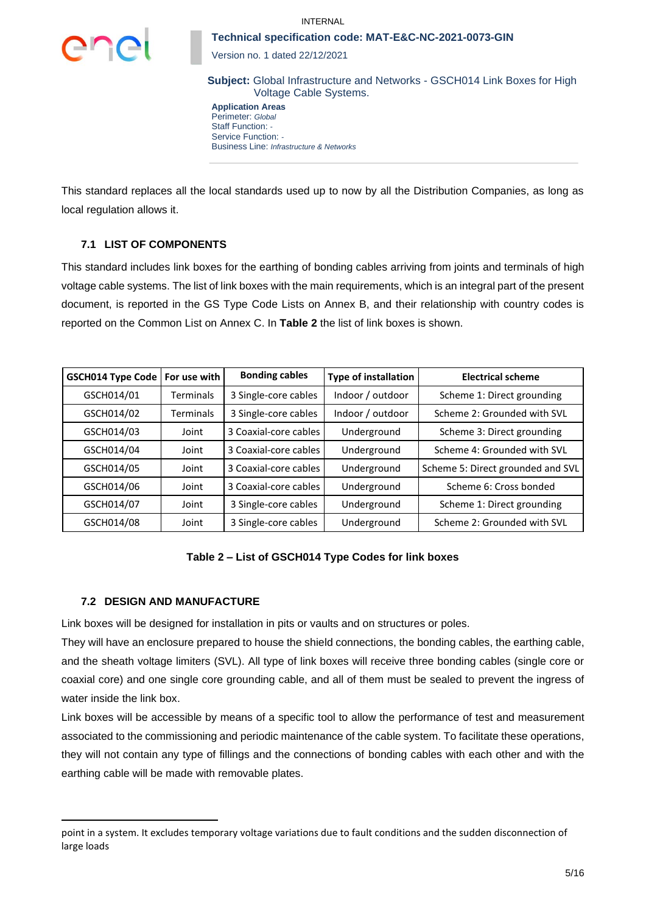

Version no. 1 dated 22/12/2021

**Subject:** Global Infrastructure and Networks - GSCH014 Link Boxes for High Voltage Cable Systems.

**Application Areas** Perimeter: *Global* Staff Function: *-* Service Function: *-* Business Line: *Infrastructure & Networks*

This standard replaces all the local standards used up to now by all the Distribution Companies, as long as local regulation allows it.

# **7.1 LIST OF COMPONENTS**

This standard includes link boxes for the earthing of bonding cables arriving from joints and terminals of high voltage cable systems. The list of link boxes with the main requirements, which is an integral part of the present document, is reported in the GS Type Code Lists on Annex B, and their relationship with country codes is reported on the Common List on Annex C. In **[Table 2](#page-4-0)** the list of link boxes is shown.

| <b>GSCH014 Type Code</b> | For use with | <b>Bonding cables</b> | <b>Type of installation</b> | <b>Electrical scheme</b>          |
|--------------------------|--------------|-----------------------|-----------------------------|-----------------------------------|
| GSCH014/01               | Terminals    | 3 Single-core cables  | Indoor / outdoor            | Scheme 1: Direct grounding        |
| GSCH014/02               | Terminals    | 3 Single-core cables  | Indoor / outdoor            | Scheme 2: Grounded with SVL       |
| GSCH014/03               | Joint        | 3 Coaxial-core cables | Underground                 | Scheme 3: Direct grounding        |
| GSCH014/04               | Joint        | 3 Coaxial-core cables | Underground                 | Scheme 4: Grounded with SVL       |
| GSCH014/05               | Joint        | 3 Coaxial-core cables | Underground                 | Scheme 5: Direct grounded and SVL |
| GSCH014/06               | Joint        | 3 Coaxial-core cables | Underground                 | Scheme 6: Cross bonded            |
| GSCH014/07               | Joint        | 3 Single-core cables  | Underground                 | Scheme 1: Direct grounding        |
| GSCH014/08               | Joint        | 3 Single-core cables  | Underground                 | Scheme 2: Grounded with SVL       |

# **Table 2 – List of GSCH014 Type Codes for link boxes**

# <span id="page-4-0"></span>**7.2 DESIGN AND MANUFACTURE**

Link boxes will be designed for installation in pits or vaults and on structures or poles.

They will have an enclosure prepared to house the shield connections, the bonding cables, the earthing cable, and the sheath voltage limiters (SVL). All type of link boxes will receive three bonding cables (single core or coaxial core) and one single core grounding cable, and all of them must be sealed to prevent the ingress of water inside the link box.

Link boxes will be accessible by means of a specific tool to allow the performance of test and measurement associated to the commissioning and periodic maintenance of the cable system. To facilitate these operations, they will not contain any type of fillings and the connections of bonding cables with each other and with the earthing cable will be made with removable plates.

point in a system. It excludes temporary voltage variations due to fault conditions and the sudden disconnection of large loads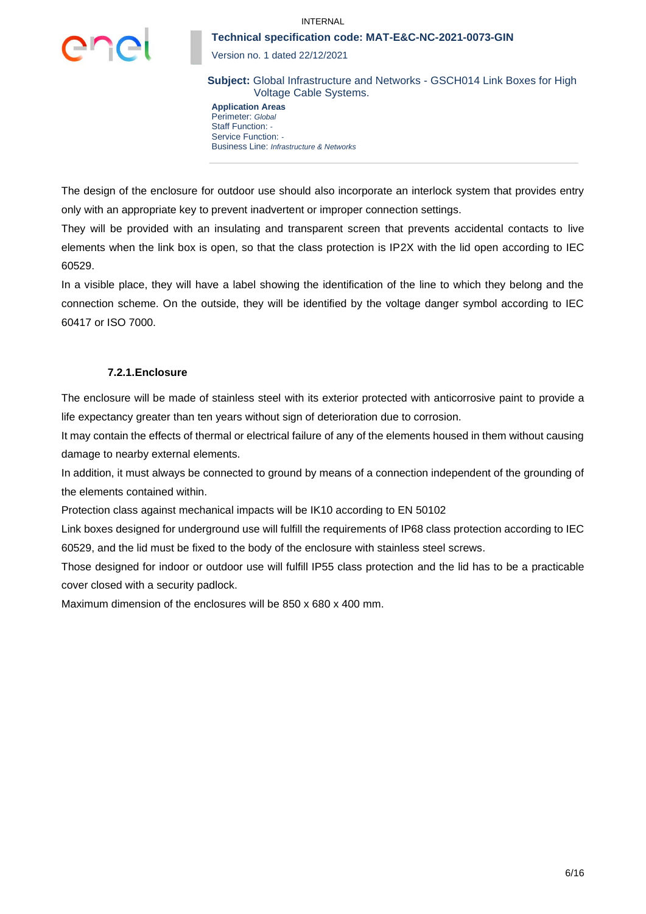

Version no. 1 dated 22/12/2021

**Subject:** Global Infrastructure and Networks - GSCH014 Link Boxes for High Voltage Cable Systems.

**Application Areas** Perimeter: *Global* Staff Function: *-* Service Function: *-* Business Line: *Infrastructure & Networks*

The design of the enclosure for outdoor use should also incorporate an interlock system that provides entry only with an appropriate key to prevent inadvertent or improper connection settings.

They will be provided with an insulating and transparent screen that prevents accidental contacts to live elements when the link box is open, so that the class protection is IP2X with the lid open according to IEC 60529.

In a visible place, they will have a label showing the identification of the line to which they belong and the connection scheme. On the outside, they will be identified by the voltage danger symbol according to IEC 60417 or ISO 7000.

#### **7.2.1.Enclosure**

The enclosure will be made of stainless steel with its exterior protected with anticorrosive paint to provide a life expectancy greater than ten years without sign of deterioration due to corrosion.

It may contain the effects of thermal or electrical failure of any of the elements housed in them without causing damage to nearby external elements.

In addition, it must always be connected to ground by means of a connection independent of the grounding of the elements contained within.

Protection class against mechanical impacts will be IK10 according to EN 50102

Link boxes designed for underground use will fulfill the requirements of IP68 class protection according to IEC 60529, and the lid must be fixed to the body of the enclosure with stainless steel screws.

Those designed for indoor or outdoor use will fulfill IP55 class protection and the lid has to be a practicable cover closed with a security padlock.

Maximum dimension of the enclosures will be 850 x 680 x 400 mm.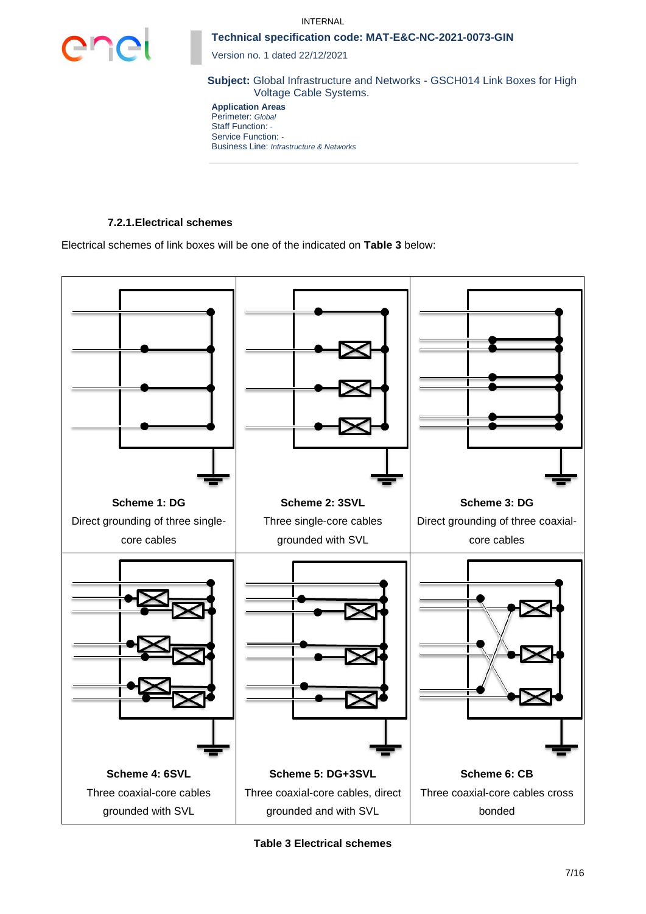



Version no. 1 dated 22/12/2021

**Subject:** Global Infrastructure and Networks - GSCH014 Link Boxes for High Voltage Cable Systems.

**Application Areas** Perimeter: *Global* Staff Function: *-* Service Function: *-* Business Line: *Infrastructure & Networks*

# **7.2.1.Electrical schemes**

Electrical schemes of link boxes will be one of the indicated on **[Table 3](#page-6-0)** below:



<span id="page-6-0"></span>**Table 3 Electrical schemes**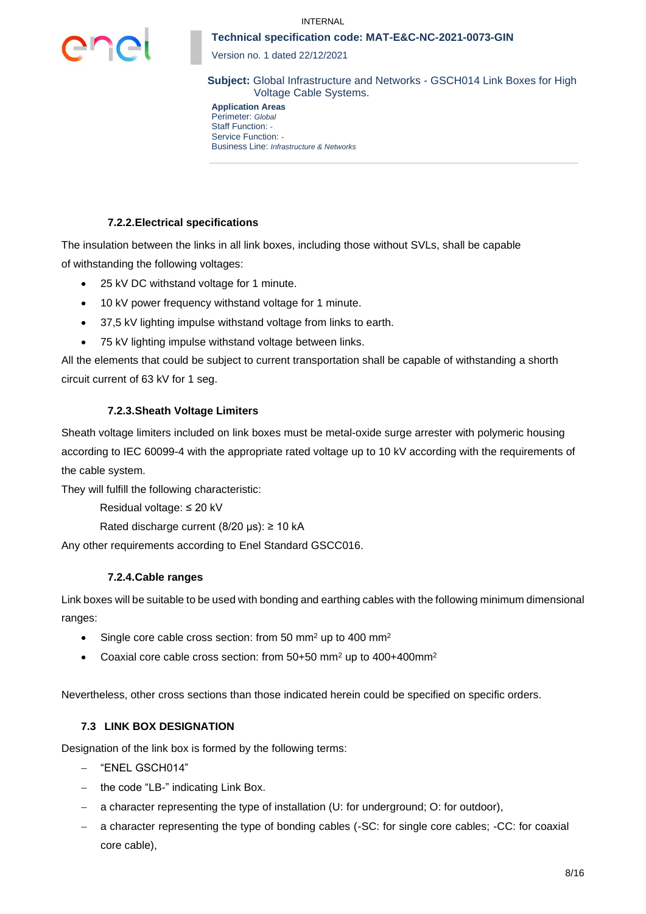

Version no. 1 dated 22/12/2021

**Subject:** Global Infrastructure and Networks - GSCH014 Link Boxes for High Voltage Cable Systems.

**Application Areas** Perimeter: *Global* Staff Function: *-* Service Function: *-* Business Line: *Infrastructure & Networks*

# **7.2.2.Electrical specifications**

The insulation between the links in all link boxes, including those without SVLs, shall be capable of withstanding the following voltages:

- 25 kV DC withstand voltage for 1 minute.
- 10 kV power frequency withstand voltage for 1 minute.
- 37,5 kV lighting impulse withstand voltage from links to earth.
- 75 kV lighting impulse withstand voltage between links.

All the elements that could be subject to current transportation shall be capable of withstanding a shorth circuit current of 63 kV for 1 seg.

# **7.2.3.Sheath Voltage Limiters**

Sheath voltage limiters included on link boxes must be metal-oxide surge arrester with polymeric housing according to IEC 60099-4 with the appropriate rated voltage up to 10 kV according with the requirements of the cable system.

They will fulfill the following characteristic:

Residual voltage: ≤ 20 kV

Rated discharge current (8/20 μs): ≥ 10 kA

Any other requirements according to Enel Standard GSCC016.

# **7.2.4.Cable ranges**

Link boxes will be suitable to be used with bonding and earthing cables with the following minimum dimensional ranges:

- Single core cable cross section: from 50 mm<sup>2</sup> up to 400 mm<sup>2</sup>
- Coaxial core cable cross section: from 50+50 mm<sup>2</sup> up to 400+400mm<sup>2</sup>

Nevertheless, other cross sections than those indicated herein could be specified on specific orders.

# **7.3 LINK BOX DESIGNATION**

Designation of the link box is formed by the following terms:

- − "ENEL GSCH014"
- − the code "LB-" indicating Link Box.
- − a character representing the type of installation (U: for underground; O: for outdoor),
- a character representing the type of bonding cables (-SC: for single core cables; -CC: for coaxial core cable),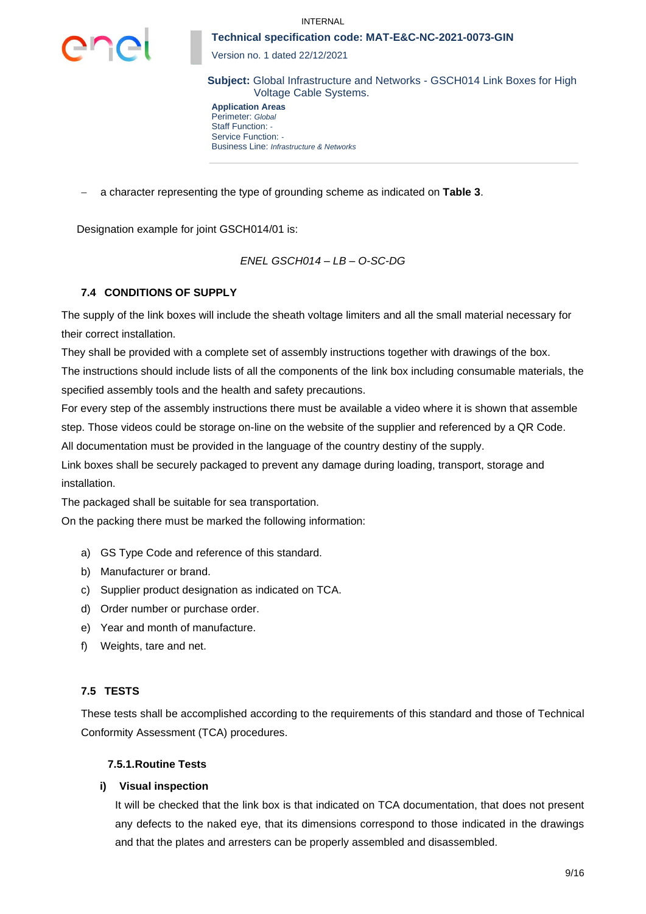

Version no. 1 dated 22/12/2021

**Subject:** Global Infrastructure and Networks - GSCH014 Link Boxes for High Voltage Cable Systems.

**Application Areas** Perimeter: *Global* Staff Function: *-* Service Function: *-* Business Line: *Infrastructure & Networks*

− a character representing the type of grounding scheme as indicated on **[Table 3](#page-6-0)**.

Designation example for joint GSCH014/01 is:

*ENEL GSCH014 – LB – O-SC-DG*

# **7.4 CONDITIONS OF SUPPLY**

The supply of the link boxes will include the sheath voltage limiters and all the small material necessary for their correct installation.

They shall be provided with a complete set of assembly instructions together with drawings of the box.

The instructions should include lists of all the components of the link box including consumable materials, the specified assembly tools and the health and safety precautions.

For every step of the assembly instructions there must be available a video where it is shown that assemble step. Those videos could be storage on-line on the website of the supplier and referenced by a QR Code. All documentation must be provided in the language of the country destiny of the supply.

Link boxes shall be securely packaged to prevent any damage during loading, transport, storage and installation.

The packaged shall be suitable for sea transportation.

On the packing there must be marked the following information:

- a) GS Type Code and reference of this standard.
- b) Manufacturer or brand.
- c) Supplier product designation as indicated on TCA.
- d) Order number or purchase order.
- e) Year and month of manufacture.
- f) Weights, tare and net.

#### **7.5 TESTS**

These tests shall be accomplished according to the requirements of this standard and those of Technical Conformity Assessment (TCA) procedures.

#### **7.5.1.Routine Tests**

#### **i) Visual inspection**

It will be checked that the link box is that indicated on TCA documentation, that does not present any defects to the naked eye, that its dimensions correspond to those indicated in the drawings and that the plates and arresters can be properly assembled and disassembled.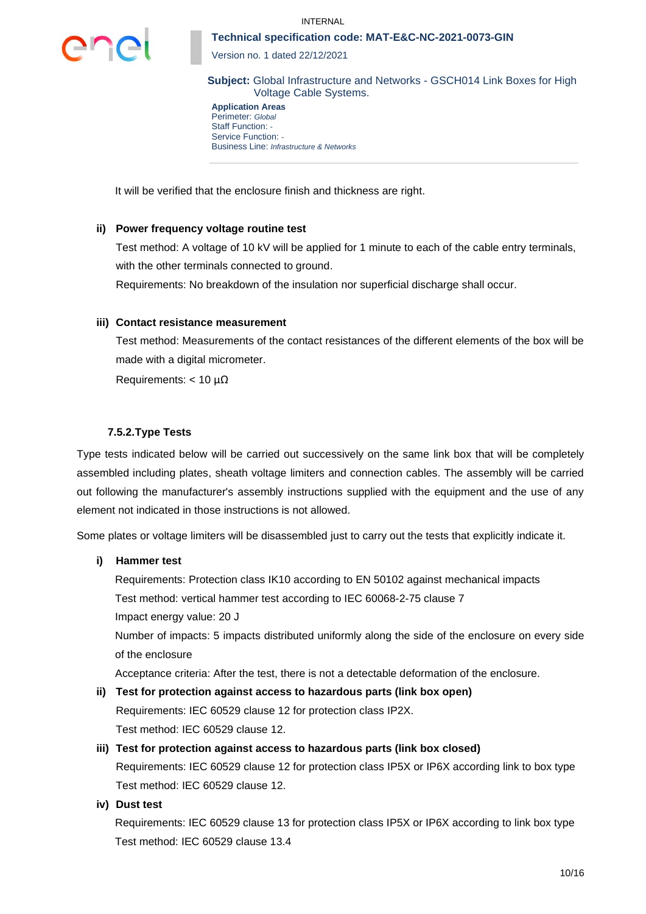

Version no. 1 dated 22/12/2021

**Subject:** Global Infrastructure and Networks - GSCH014 Link Boxes for High Voltage Cable Systems.

**Application Areas** Perimeter: *Global* Staff Function: *-* Service Function: *-* Business Line: *Infrastructure & Networks*

It will be verified that the enclosure finish and thickness are right.

#### **ii) Power frequency voltage routine test**

Test method: A voltage of 10 kV will be applied for 1 minute to each of the cable entry terminals, with the other terminals connected to ground.

Requirements: No breakdown of the insulation nor superficial discharge shall occur.

#### **iii) Contact resistance measurement**

Test method: Measurements of the contact resistances of the different elements of the box will be made with a digital micrometer.

Requirements:  $< 10 \mu\Omega$ 

### **7.5.2.Type Tests**

Type tests indicated below will be carried out successively on the same link box that will be completely assembled including plates, sheath voltage limiters and connection cables. The assembly will be carried out following the manufacturer's assembly instructions supplied with the equipment and the use of any element not indicated in those instructions is not allowed.

Some plates or voltage limiters will be disassembled just to carry out the tests that explicitly indicate it.

#### **i) Hammer test**

Requirements: Protection class IK10 according to EN 50102 against mechanical impacts Test method: vertical hammer test according to IEC 60068-2-75 clause 7 Impact energy value: 20 J Number of impacts: 5 impacts distributed uniformly along the side of the enclosure on every side of the enclosure

Acceptance criteria: After the test, there is not a detectable deformation of the enclosure.

- **ii) Test for protection against access to hazardous parts (link box open)** Requirements: IEC 60529 clause 12 for protection class IP2X. Test method: IEC 60529 clause 12.
- **iii) Test for protection against access to hazardous parts (link box closed)**

Requirements: IEC 60529 clause 12 for protection class IP5X or IP6X according link to box type Test method: IEC 60529 clause 12.

**iv) Dust test**

Requirements: IEC 60529 clause 13 for protection class IP5X or IP6X according to link box type Test method: IEC 60529 clause 13.4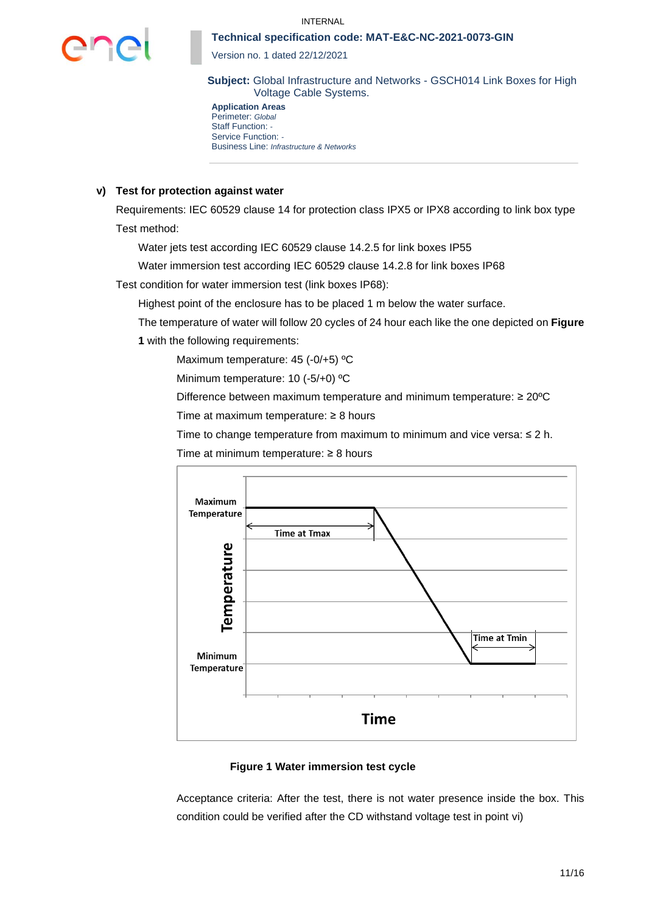

Version no. 1 dated 22/12/2021

**Subject:** Global Infrastructure and Networks - GSCH014 Link Boxes for High Voltage Cable Systems.

**Application Areas** Perimeter: *Global* Staff Function: *-* Service Function: *-* Business Line: *Infrastructure & Networks*

#### **v) Test for protection against water**

Requirements: IEC 60529 clause 14 for protection class IPX5 or IPX8 according to link box type Test method:

Water jets test according IEC 60529 clause 14.2.5 for link boxes IP55

Water immersion test according IEC 60529 clause 14.2.8 for link boxes IP68

Test condition for water immersion test (link boxes IP68):

Highest point of the enclosure has to be placed 1 m below the water surface.

The temperature of water will follow 20 cycles of 24 hour each like the one depicted on **[Figure](#page-10-0)  [1](#page-10-0)** with the following requirements:

Maximum temperature: 45 (-0/+5) °C

Minimum temperature: 10 (-5/+0) ºC

Difference between maximum temperature and minimum temperature: ≥ 20ºC

Time at maximum temperature: ≥ 8 hours

Time to change temperature from maximum to minimum and vice versa: ≤ 2 h.

Maximum **Temperature Time at Tmax Temperature Time at Tmin** Minimum **Temperature Time** 

Time at minimum temperature: ≥ 8 hours

# **Figure 1 Water immersion test cycle**

<span id="page-10-0"></span>Acceptance criteria: After the test, there is not water presence inside the box. This condition could be verified after the CD withstand voltage test in point [vi\)](#page-11-0)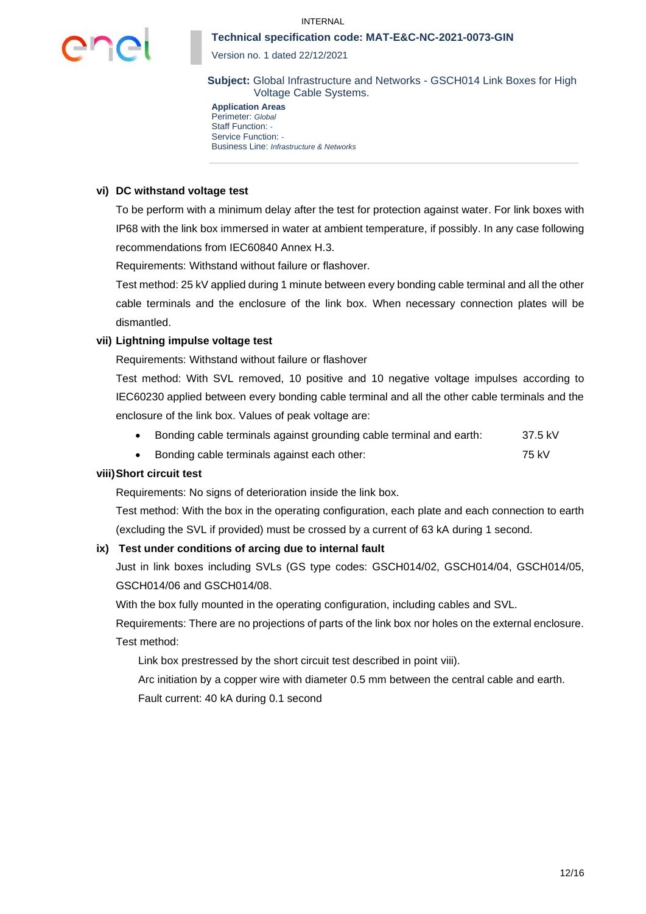

Version no. 1 dated 22/12/2021

**Subject:** Global Infrastructure and Networks - GSCH014 Link Boxes for High Voltage Cable Systems.

**Application Areas** Perimeter: *Global* Staff Function: *-* Service Function: *-* Business Line: *Infrastructure & Networks*

#### <span id="page-11-0"></span>**vi) DC withstand voltage test**

To be perform with a minimum delay after the test for protection against water. For link boxes with IP68 with the link box immersed in water at ambient temperature, if possibly. In any case following recommendations from IEC60840 Annex H.3.

Requirements: Withstand without failure or flashover.

Test method: 25 kV applied during 1 minute between every bonding cable terminal and all the other cable terminals and the enclosure of the link box. When necessary connection plates will be dismantled.

### **vii) Lightning impulse voltage test**

Requirements: Withstand without failure or flashover

Test method: With SVL removed, 10 positive and 10 negative voltage impulses according to IEC60230 applied between every bonding cable terminal and all the other cable terminals and the enclosure of the link box. Values of peak voltage are:

- Bonding cable terminals against grounding cable terminal and earth: 37.5 kV
- Bonding cable terminals against each other: 75 kV

# **viii)Short circuit test**

Requirements: No signs of deterioration inside the link box.

Test method: With the box in the operating configuration, each plate and each connection to earth (excluding the SVL if provided) must be crossed by a current of 63 kA during 1 second.

# **ix) Test under conditions of arcing due to internal fault**

Just in link boxes including SVLs (GS type codes: GSCH014/02, GSCH014/04, GSCH014/05, GSCH014/06 and GSCH014/08.

With the box fully mounted in the operating configuration, including cables and SVL.

Requirements: There are no projections of parts of the link box nor holes on the external enclosure. Test method:

Link box prestressed by the short circuit test described in point viii).

Arc initiation by a copper wire with diameter 0.5 mm between the central cable and earth. Fault current: 40 kA during 0.1 second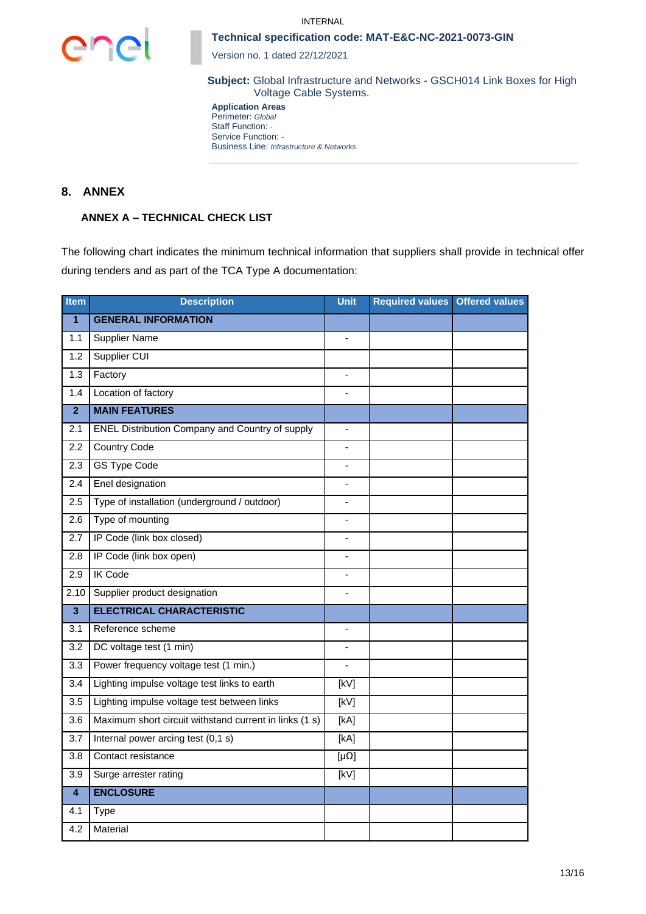



Version no. 1 dated 22/12/2021

**Subject:** Global Infrastructure and Networks - GSCH014 Link Boxes for High Voltage Cable Systems.

**Application Areas** Perimeter: *Global* Staff Function: *-* Service Function: *-* Business Line: *Infrastructure & Networks*

# **8. ANNEX**

# **ANNEX A – TECHNICAL CHECK LIST**

The following chart indicates the minimum technical information that suppliers shall provide in technical offer during tenders and as part of the TCA Type A documentation:

| <b>Item</b>             | <b>Description</b>                                     | Unit              | <b>Required values</b> | <b>Offered values</b> |
|-------------------------|--------------------------------------------------------|-------------------|------------------------|-----------------------|
| $\mathbf{1}$            | <b>GENERAL INFORMATION</b>                             |                   |                        |                       |
| 1.1                     | <b>Supplier Name</b>                                   | $\blacksquare$    |                        |                       |
| 1.2                     | Supplier CUI                                           |                   |                        |                       |
| 1.3                     | Factory                                                | $\frac{1}{2}$     |                        |                       |
| 1.4                     | Location of factory                                    |                   |                        |                       |
| $\overline{2}$          | <b>MAIN FEATURES</b>                                   |                   |                        |                       |
| 2.1                     | <b>ENEL Distribution Company and Country of supply</b> |                   |                        |                       |
| 2.2                     | <b>Country Code</b>                                    |                   |                        |                       |
| 2.3                     | <b>GS Type Code</b>                                    |                   |                        |                       |
| 2.4                     | Enel designation                                       |                   |                        |                       |
| 2.5                     | Type of installation (underground / outdoor)           | $\blacksquare$    |                        |                       |
| 2.6                     | Type of mounting                                       | $\overline{a}$    |                        |                       |
| 2.7                     | IP Code (link box closed)                              | $\blacksquare$    |                        |                       |
| 2.8                     | IP Code (link box open)                                |                   |                        |                       |
| $\overline{2.9}$        | <b>IK Code</b>                                         | $\blacksquare$    |                        |                       |
| 2.10                    | Supplier product designation                           |                   |                        |                       |
| $\overline{\mathbf{3}}$ | <b>ELECTRICAL CHARACTERISTIC</b>                       |                   |                        |                       |
| 3.1                     | Reference scheme                                       |                   |                        |                       |
| $\overline{3.2}$        | DC voltage test (1 min)                                |                   |                        |                       |
| $\overline{3.3}$        | Power frequency voltage test (1 min.)                  |                   |                        |                       |
| 3.4                     | Lighting impulse voltage test links to earth           | [kV]              |                        |                       |
| 3.5                     | Lighting impulse voltage test between links            | $\overline{KVI}$  |                        |                       |
| 3.6                     | Maximum short circuit withstand current in links (1 s) | [KA]              |                        |                       |
| 3.7                     | Internal power arcing test (0,1 s)                     | [kA]              |                        |                       |
| 3.8                     | Contact resistance                                     | $[\mu\Omega]$     |                        |                       |
| 3.9                     | Surge arrester rating                                  | $\overline{[kV]}$ |                        |                       |
| $\overline{\mathbf{4}}$ | <b>ENCLOSURE</b>                                       |                   |                        |                       |
| 4.1                     | <b>Type</b>                                            |                   |                        |                       |
| 4.2                     | Material                                               |                   |                        |                       |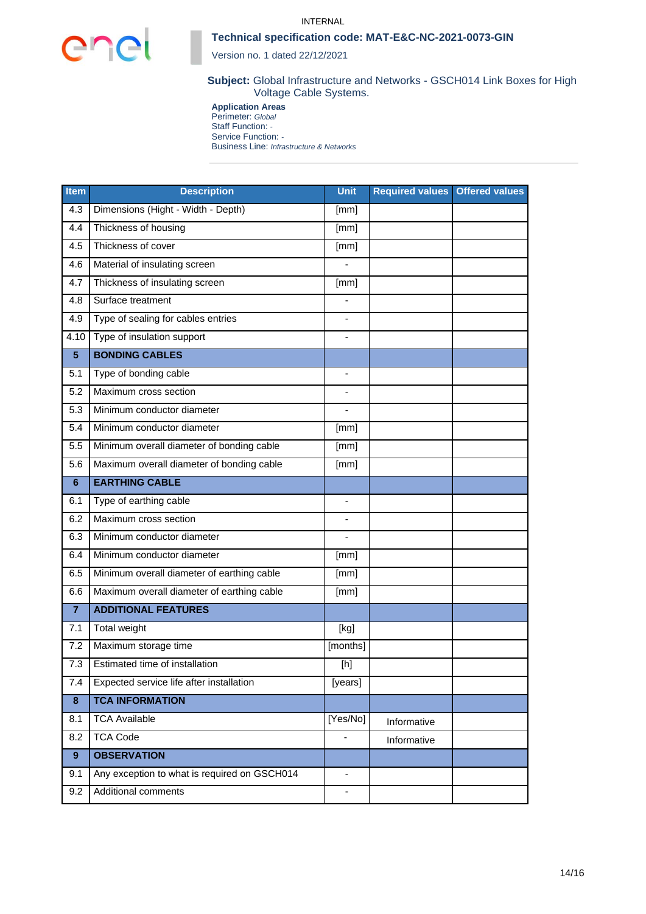



Version no. 1 dated 22/12/2021

### **Subject:** Global Infrastructure and Networks - GSCH014 Link Boxes for High Voltage Cable Systems.

**Application Areas** Perimeter: *Global* Staff Function: *-* Service Function: *-* Business Line: *Infrastructure & Networks*

| <b>Item</b>    | <b>Description</b>                           | <b>Unit</b>    | <b>Required values Offered values</b> |  |
|----------------|----------------------------------------------|----------------|---------------------------------------|--|
| 4.3            | Dimensions (Hight - Width - Depth)           | [mm]           |                                       |  |
| 4.4            | Thickness of housing                         |                |                                       |  |
| 4.5            | Thickness of cover                           | [mm]           |                                       |  |
| 4.6            | Material of insulating screen                |                |                                       |  |
| 4.7            | Thickness of insulating screen               | [mm]           |                                       |  |
| 4.8            | Surface treatment                            |                |                                       |  |
| 4.9            | Type of sealing for cables entries           |                |                                       |  |
| 4.10           | Type of insulation support                   |                |                                       |  |
| 5 <sup>5</sup> | <b>BONDING CABLES</b>                        |                |                                       |  |
| 5.1            | Type of bonding cable                        |                |                                       |  |
| 5.2            | Maximum cross section                        |                |                                       |  |
| 5.3            | Minimum conductor diameter                   | $\blacksquare$ |                                       |  |
| 5.4            | Minimum conductor diameter                   | [mm]           |                                       |  |
| 5.5            | Minimum overall diameter of bonding cable    | [mm]           |                                       |  |
| 5.6            | Maximum overall diameter of bonding cable    | [mm]           |                                       |  |
| 6              | <b>EARTHING CABLE</b>                        |                |                                       |  |
| 6.1            | Type of earthing cable                       |                |                                       |  |
| 6.2            | Maximum cross section                        |                |                                       |  |
| 6.3            | Minimum conductor diameter                   |                |                                       |  |
| 6.4            | Minimum conductor diameter                   | [mm]           |                                       |  |
| 6.5            | Minimum overall diameter of earthing cable   | [mm]           |                                       |  |
| 6.6            | Maximum overall diameter of earthing cable   | [mm]           |                                       |  |
| $\overline{7}$ | <b>ADDITIONAL FEATURES</b>                   |                |                                       |  |
| 7.1            | Total weight                                 | [kg]           |                                       |  |
| 7.2            | Maximum storage time                         | [months]       |                                       |  |
| 7.3            | Estimated time of installation               | [h]            |                                       |  |
| 7.4            | Expected service life after installation     | [years]        |                                       |  |
| 8              | <b>TCA INFORMATION</b>                       |                |                                       |  |
| 8.1            | <b>TCA Available</b>                         | [Yes/No]       | Informative                           |  |
| 8.2            | <b>TCA Code</b>                              |                | Informative                           |  |
| 9              | <b>OBSERVATION</b>                           |                |                                       |  |
| 9.1            | Any exception to what is required on GSCH014 |                |                                       |  |
| 9.2            | Additional comments                          |                |                                       |  |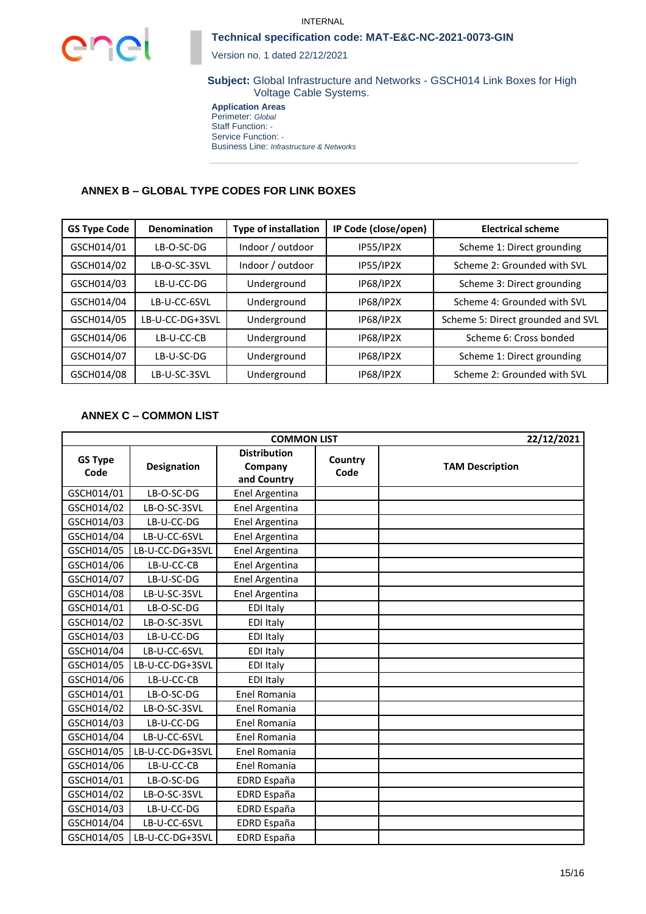

Version no. 1 dated 22/12/2021

**Subject:** Global Infrastructure and Networks - GSCH014 Link Boxes for High Voltage Cable Systems.

**Application Areas** Perimeter: *Global* Staff Function: *-* Service Function: *-* Business Line: *Infrastructure & Networks*

# **ANNEX B – GLOBAL TYPE CODES FOR LINK BOXES**

| <b>GS Type Code</b> | <b>Denomination</b> | <b>Type of installation</b> | IP Code (close/open) | <b>Electrical scheme</b>          |
|---------------------|---------------------|-----------------------------|----------------------|-----------------------------------|
| GSCH014/01          | LB-O-SC-DG          | Indoor / outdoor            | <b>IP55/IP2X</b>     | Scheme 1: Direct grounding        |
| GSCH014/02          | LB-O-SC-3SVL        | Indoor / outdoor            | <b>IP55/IP2X</b>     | Scheme 2: Grounded with SVL       |
| GSCH014/03          | LB-U-CC-DG          | Underground                 | <b>IP68/IP2X</b>     | Scheme 3: Direct grounding        |
| GSCH014/04          | LB-U-CC-6SVL        | Underground                 | <b>IP68/IP2X</b>     | Scheme 4: Grounded with SVL       |
| GSCH014/05          | LB-U-CC-DG+3SVL     | Underground                 | IP68/IP2X            | Scheme 5: Direct grounded and SVL |
| GSCH014/06          | LB-U-CC-CB          | Underground                 | <b>IP68/IP2X</b>     | Scheme 6: Cross bonded            |
| GSCH014/07          | LB-U-SC-DG          | Underground                 | <b>IP68/IP2X</b>     | Scheme 1: Direct grounding        |
| GSCH014/08          | LB-U-SC-3SVL        | Underground                 | <b>IP68/IP2X</b>     | Scheme 2: Grounded with SVL       |

# **ANNEX C – COMMON LIST**

| <b>COMMON LIST</b>     |                    |                                               |                 | 22/12/2021             |
|------------------------|--------------------|-----------------------------------------------|-----------------|------------------------|
| <b>GS Type</b><br>Code | <b>Designation</b> | <b>Distribution</b><br>Company<br>and Country | Country<br>Code | <b>TAM Description</b> |
| GSCH014/01             | LB-O-SC-DG         | Enel Argentina                                |                 |                        |
| GSCH014/02             | LB-O-SC-3SVL       | Enel Argentina                                |                 |                        |
| GSCH014/03             | LB-U-CC-DG         | Enel Argentina                                |                 |                        |
| GSCH014/04             | LB-U-CC-6SVL       | Enel Argentina                                |                 |                        |
| GSCH014/05             | LB-U-CC-DG+3SVL    | Enel Argentina                                |                 |                        |
| GSCH014/06             | LB-U-CC-CB         | Enel Argentina                                |                 |                        |
| GSCH014/07             | LB-U-SC-DG         | Enel Argentina                                |                 |                        |
| GSCH014/08             | LB-U-SC-3SVL       | Enel Argentina                                |                 |                        |
| GSCH014/01             | LB-O-SC-DG         | <b>EDI Italy</b>                              |                 |                        |
| GSCH014/02             | LB-O-SC-3SVL       | <b>EDI Italy</b>                              |                 |                        |
| GSCH014/03             | LB-U-CC-DG         | <b>EDI Italy</b>                              |                 |                        |
| GSCH014/04             | LB-U-CC-6SVL       | <b>EDI Italy</b>                              |                 |                        |
| GSCH014/05             | LB-U-CC-DG+3SVL    | <b>EDI Italy</b>                              |                 |                        |
| GSCH014/06             | LB-U-CC-CB         | <b>EDI Italy</b>                              |                 |                        |
| GSCH014/01             | LB-O-SC-DG         | Enel Romania                                  |                 |                        |
| GSCH014/02             | LB-O-SC-3SVL       | Enel Romania                                  |                 |                        |
| GSCH014/03             | LB-U-CC-DG         | Enel Romania                                  |                 |                        |
| GSCH014/04             | LB-U-CC-6SVL       | Enel Romania                                  |                 |                        |
| GSCH014/05             | LB-U-CC-DG+3SVL    | Enel Romania                                  |                 |                        |
| GSCH014/06             | LB-U-CC-CB         | Enel Romania                                  |                 |                        |
| GSCH014/01             | LB-O-SC-DG         | <b>EDRD España</b>                            |                 |                        |
| GSCH014/02             | LB-O-SC-3SVL       | <b>EDRD España</b>                            |                 |                        |
| GSCH014/03             | LB-U-CC-DG         | EDRD España                                   |                 |                        |
| GSCH014/04             | LB-U-CC-6SVL       | <b>EDRD España</b>                            |                 |                        |
| GSCH014/05             | LB-U-CC-DG+3SVL    | <b>EDRD España</b>                            |                 |                        |